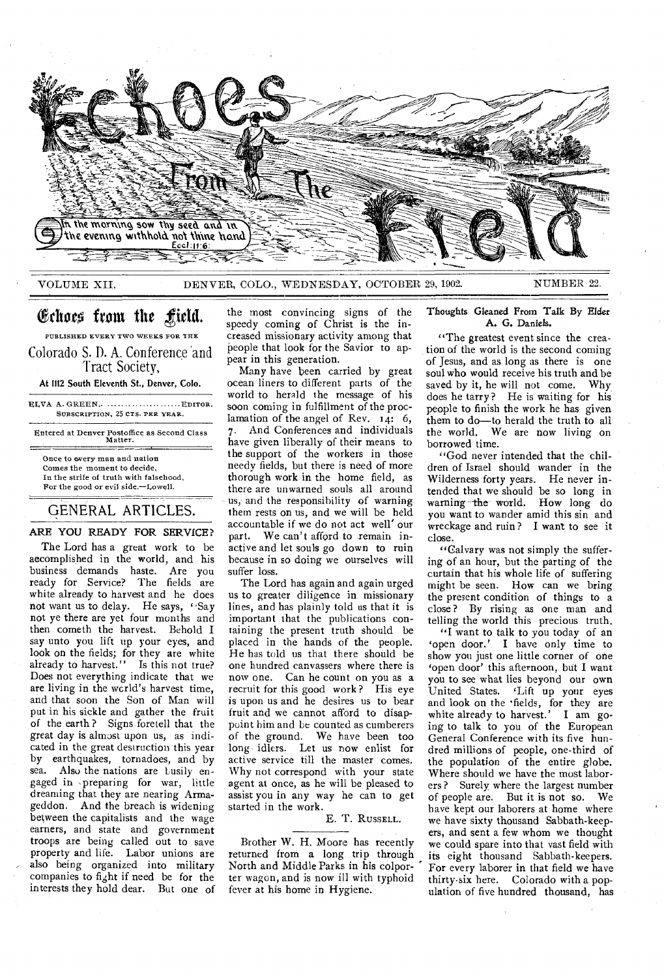

## VOLUME XII. DENVER, COLO., WEDNESDAY, OCTOBER 29, 1902. NUMBER 22.

# Echoes from the field.

PUBLISHED EVERY TWO WEEKS FOR THE Colorado S. D. A. Conference and Tract Society,

At 1112 South Eleventh St., Denver, Colo.

ELVA A. GREEN, ........................... EDITOR. SUBSCRIPTION, 25 CTS. PER YEAR.

Entered at Denver Postoffice as Second Class Matter.

Once to every man and nation Comes the moment to decide, In the strife of truth with falsehood, For the good or evil side.—Lowell.

## GENERAL ARTICLES.

ARE YOU READY FOR SERVICE?

The Lord has a great work to be accomplished in the world, and his business demands haste. Are you ready for Service? The fields are white already to harvest and he does not want us to delay. He says, 'Say not ye there are yet four months and then cometh the harvest. Behold I say unto you lift up your eyes, and look on the fields; for they are white already to harvest." Is this not true? Does not everything indicate that we are living in the wcrld's harvest time, and that soon the Son of Man will put in his sickle and gather the fruit of the earth ? Signs foretell that the great day is almost upon us, as indicated in the great destruction this year by earthquakes, tornadoes, and by sea. Also the nations are busily engaged in ,preparing for war, little dreaming that they are nearing Armageddon. And the breach is widening between the capitalists and the wage earners, and state and government troops are being called out to save property and life. Labor unions are also being organized into military companies to fight if need be for the interests they hold dear. But one of

the most convincing signs of the speedy coming of Christ is the increased missionary activity among that people that look for the Savior to appear in this generation.

Many have been carried by great ocean liners to different parts of the world to herald the message of his soon coming in fulfillment of the proclamation of the angel of Rev.  $14: 6$ , 7. And Conferences and individuals have given liberally of their means to the support of the workers in those needy fields, but there is need of more thorough work in the home field, as there are unwarned souls all around us, and the responsibility of warning them rests on us, and we will be held accountable if we do not act well' our part. We can't afford to remain inactive and let souls go down to ruin because in so doing we ourselves will suffer loss.

The Lord has again and again urged us to greater diligence in missionary lines, and has plainly told us that it is important that the publications containing the present truth should be placed in the hands of the people. He has told us that there should be one hundred canvassers where there is now one. Can he count on you as a recruit for this good work? His eye is upon us and he desires us to bear fruit and we cannot afford to disappoint him and be counted as cumberers of the ground. We have been too long idlers. Let us now enlist for active service till the master comes. Why not correspond with your state agent at once, as he will be pleased to assist you in any way he can to get started in the work.

### E. T. RUSSELL.

Brother W. H. Moore has recently returned from a long trip through North and Middle Parks in his colporter wagon, and is now ill with typhoid fever at his home in Hygiene.

## Thoughts Gleaned From Talk By Elder A. G. Daniels.

"The greatest event since the creation of the world is the second coming of Jesus, and as long as there is one soul who would receive his truth and be saved by it, he will not come. Why does he tarry? He is waiting for his people to finish the work he has given them to do—to herald the truth to all the world. We are now living on borrowed time.

"God never intended that the children of Israel should wander in the Wilderness forty years. He never intended that we should be so long in warning the world. How long do you want to wander amid this sin and wreckage and ruin ? I want to see it close.

"Calvary was not simply the suffering of an hour, but the parting of the curtain that his whole life of suffering might be seen. How can we bring the present condition of things to a close ? By rising as one man and telling the world this precious truth.

"I want to talk to you today of an 'open door.' I have only time to show you just one little corner of one 'open door' this afternoon, but I want you to see what lies beyond our own United States. 'Lift up your eyes and look on the 'fields, for they are white already to harvest.' I am going to talk to you of the European General Conference with its five hundred millions of people, one-third of the population of the entire globe. Where should we have the most laborers? Surely where the largest number of people are. But it is not so. We have kept our laborers at home where we have sixty thousand Sabbath-keepers, and sent a few whom we thought we could spare into that vast field with its eight thousand Sabbath-keepers. For every laborer in that field we have thirty-six here. Colorado with a population of five hundred thousand, has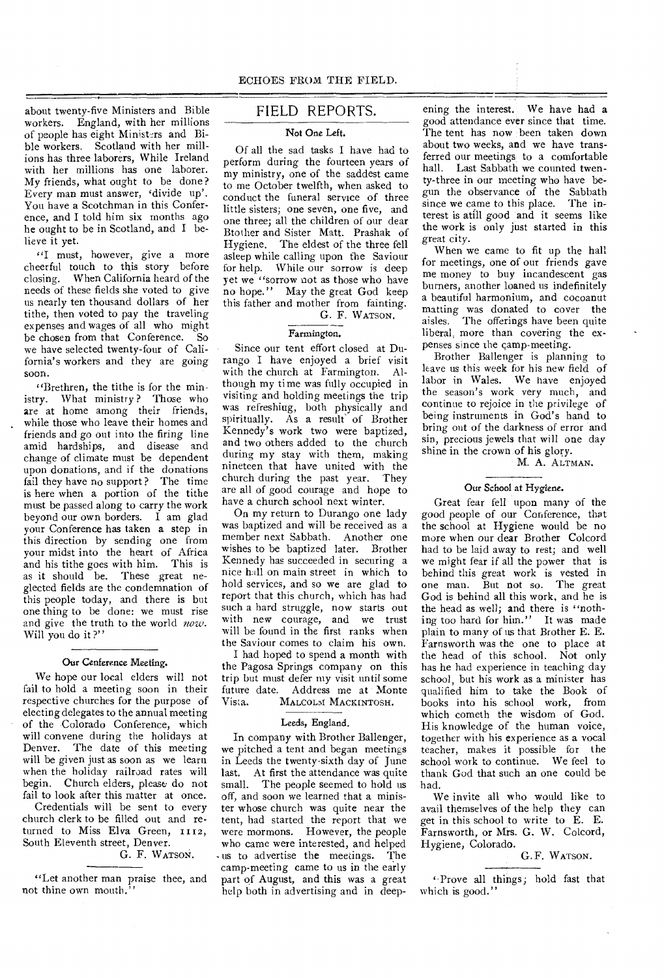about twenty-five Ministers and Bible workers. England, with her millions of people has eight Ministers and Bible workers. Scotland with her millions has three laborers, While Ireland with her millions has one laborer. My friends, what ought to be done ? Every man must answer, 'divide up'. You have a Scotchman in this Conference, and I told him six months ago he ought to be in Scotland, and I believe it yet.

"I must, however, give a more cheerful touch to this story before closing. When California heard of the needs of these fields she voted to give us nearly ten thousand dollars of her tithe, then voted to pay the traveling expenses and wages of all who might be chosen from that Conference. So we have selected twenty-four of California's workers and they are going soon.

"Brethren, the tithe is for the ministry. What ministry ? Those who are at home among their friends, while those who leave their homes and friends and *go* out into the firing line amid hardships, and disease and change of climate must be dependent upon donations, and if the donations fail they have no support? The time is here when a portion of the tithe must be passed along to carry the work beyond our own borders. I am glad your Conference has taken a step in this direction by sending one from your midst into the heart of Africa and his tithe goes with him. This is as it should be. These great neglected fields are the condemnation of this people today, and there is but one thing to be done: we must rise and give the truth to the world *now.*  Will you do it?"

#### Our Cenference Meeting.

We hope our local elders will not fail to hold a meeting soon in their respective churches for the purpose of electing delegates to the annual meeting of the Colorado Conference, which will convene during the holidays at Denver. The date of this meeting will be given just as soon as we learn when the holiday railroad rates will begin. Church elders, please do not fail to look after this matter at once.

Credentials will be sent to every church clerk to be filled out and returned to Miss Elva Green, 1112, South Eleventh street, Denver.

## G. F. WATSON.

"Let another man praise thee, and not thine own mouth.<sup>1</sup>

## FIELD REPORTS.

#### Not One Left.

Of all the sad tasks I have had to perform during the fourteen years of my ministry, one of the saddest came to me October twelfth, when asked to conduct the funeral service of three little sisters; one seven, one five, and one three; all the children of our dear Btother and Sister Matt. Prashak of Hygiene. The eldest of the three fell asleep while calling upon the Saviour for help. While our sorrow is deep yet we "sorrow not as those who have no hope." May the great God keep this father and mother from fainting.

# G. F. WATSON.

## Farmington.

Since our tent effort closed at Durango I have enjoyed a brief visit with the church at Farmington. Although my time was fully occupied in visiting and holding meetings the trip was refreshing, both physically and spiritually. As a result of Brother Kennedy's work two were baptized, and two others added to the church during my stay with them, making nineteen that have united with the church during the past year. They are all of good courage and hope to have a church school next winter.

On my return to Durango one lady was baptized and will be received as a member next Sabbath. Another one wishes to be baptized later. Brother Kennedy has succeeded in securing a nice hall on main street in which to hold services, and so we are glad to report that this church, which has had such a hard struggle, now starts out with new courage, and we trust will be found in the first ranks when the Saviour comes to claim his own.

I had hoped to spend a month with the Pagosa Springs company on this trip but must defer my visit until some future date. Address me at Monte MALCOLM MACKINTOSH.

#### Leeds, England.

In company with Brother Ballenger, we pitched a tent and began meetings in Leeds the twenty-sixth day of June last. At first the attendance was quite small. The people seemed to hold us off, and soon we learned that a minister whose church was quite near the tent, had started the report that we were mormons. However, the people who came were interested, and helped us to advertise the meetings. The camp-meeting came to us in the early part of August, and this was a great help both in advertising and in deep-

ening the interest. We have had a good attendance ever since that time. The tent has now been taken down about two weeks, and we have transferred our meetings to a comfortable hall. Last Sabbath we counted twenty-three in our meeting who have begun the observance of the Sabbath since we came to this place. The interest is atill good and it seems like the work is only just started in this great city.

When we came to fit up the hall for meetings, one of our friends gave me money to buy incandescent gas burners, another loaned us indefinitely a beautiful harmonium, and cocoanut matting was donated to cover the aisles. The offerings have been quite liberal, more than covering the expenses since the camp-meeting.

Brother Ballenger is planning to leave us this week for his new field of labor in Wales. We have enjoyed the season's work very much, and continue to rejoice in the privilege of being instruments in God's hand to bring out of the darkness of error and sin, precious jewels that will one day shine in the crown of his glory.

#### M. A. ALTMAN.

### Our School at Hygiene.

Great fear fell upon many of the good people of our Conference, that the school at Hygiene would be no more when our dear Brother Colcord had to be laid away to rest; and well we might fear if all the power that is behind this great work is vested in one man. But not so. The great God is behind all this work, and he is the head as well; and there is "nothing too hard for him." It was made plain to many of us that Brother E. E. Farnsworth was the one to place at the head of this school. Not only has he had experience in teaching day school, but his work as a minister has qualified him to take the Book of books into his school work, from which cometh the wisdom of God. His knowledge of the human voice, together with his experience as a vocal teacher, makes it possible for the school work to continue. We feel to thank God that such an one could be had.

We invite all who would like to avail themselves of the help they can get in this school to write to E. E. Farnsworth, or Mrs. G. W. Colcord, Hygiene, Colorado.

## G.F. WATSON.

'Prove all things; hold fast that which is good."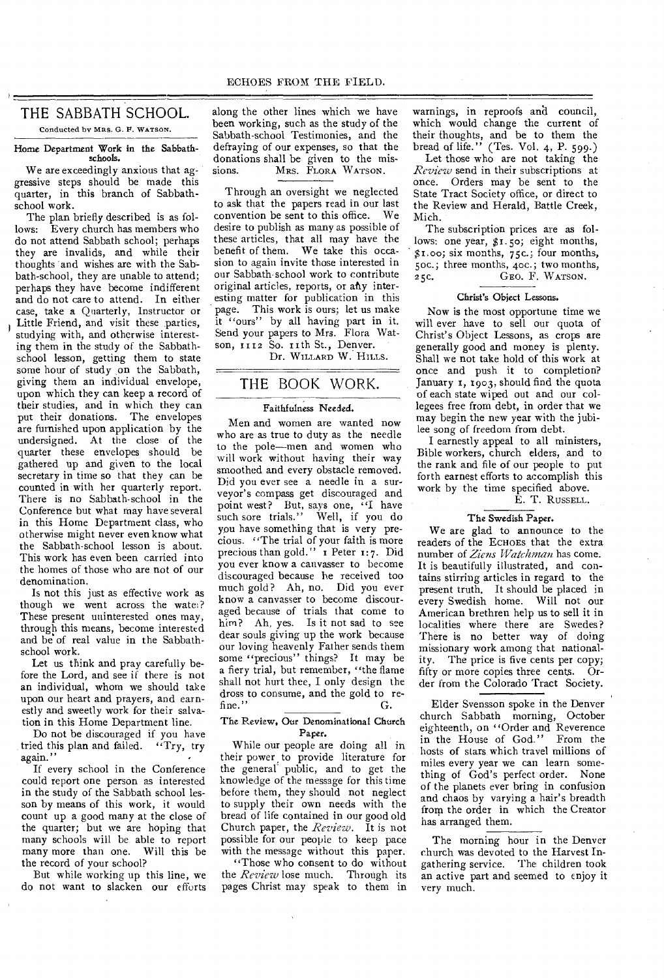# THE SABBATH SCHOOL.

Conducted by MRS. G. F. WATSON.

#### Home Department Work in the Sabbathschools.

We are exceedingly anxious that aggressive steps should be made this quarter, in this branch of Sabbathschool work.

The plan briefly described is as follows: Every church has members who do not attend Sabbath school; perhaps they are invalids, and while their thoughts 'and wishes are with the Sabbath-school, they are unable to attend; perhaps they have become indifferent and do not care to attend. In either case, take a Quarterly, Instructor or Little Friend, and visit these parties, studying with, and otherwise interesting them in the study of the Sabbathschool lesson, getting them to state some hour of study on the Sabbath, giving them an individual envelope, upon which they can keep a record of their studies, and in which they can put their donations. The envelopes are furnished upon application by the undersigned. At the close of the quarter these envelopes should be gathered up and given to the local secretary in time so that they can be counted in with her quarterly report. There is no Sabbath-school in the Conference but what may have several in this Home Department class, who otherwise might never even know what the Sabbath-school lesson is about. This work has even been carried into the homes of those who are not of our denomination.

Is not this just as effective work as though we went across the water? These present uninterested ones may, through this means, become interested and be of real value in the Sabbathschool work.

Let us think and pray carefully before the Lord, and see if there is not an individual, whom we should take upon our heart and prayers, and earnestly and sweetly work for their salvation in this Home Department line.

Do not be discouraged if you have tried this plan and failed. "Try, try again."

If every school in the Conference could report one person as interested in the study of the Sabbath school lesson by means of this work, it would count up a good many at the close of the quarter; but we are hoping that many schools will be able to report many more than one. Will this be the record of your school?

But while working up this line, we do not want to slacken our efforts

along the other lines which we have been working, such as the study of the Sabbath-school Testimonies, and the defraying of our expenses, so that the donations shall be given to the mis-<br>sions. MRS. FLORA WATSON. MRS. FLORA WATSON.

Through an oversight we neglected to ask that the papers read in our last convention be sent to this office. We desire to publish as many as possible of these articles, that all may have the benefit of them. We take this occasion to again invite those interested in our Sabbath school work to contribute original articles, reports, or any interesting matter for publication in this page. This work is ours; let us make it "ours" by all having part in it. Send your papers to Mrs. Flora Watson, 1112 So. 11th St., Denver.

Dr. WILLARD W. HILLS.

## THE BOOK WORK.

#### Faithfulness Needed.

Men and women are wanted now who are as true to duty as the needle to the pole—men and women who will work without having their way smoothed and every obstacle removed. Did you ever see a needle in a surveyor's compass get discouraged and point west? But, says one, "I have such sore trials." Well, if you do you have something that is very precious. "The trial of your faith is more precious than gold." I Peter 1:7. Did you ever know a canvasser to become discouraged because he received too much gold? Ah, no. Did you ever know a canvasser to become discouraged because of trials that come to him? Ah, yes. Is it not sad to see dear souls giving up the work because our loving heavenly Father sends them some "precious" things? It may be a fiery trial, but remember, "the flame shall not hurt thee, I only design the dross to consume, and the gold to refine." G.

#### The Review. Our Denominational Church Paper.

While our people are doing all in their power to provide literature for the general' public, and to get the knowledge of the message for this time before them, they should not neglect to supply their own needs with the bread of life contained in our good old Church paper, the *Review.* It is not possible for our people to keep pace with the message without this paper.

"Those who consent to do without the *Review* lose much. Through its pages Christ may speak to them in

warnings, in reproofs and council, which would change the current of their thoughts, and be to them the bread of life." (Tes. Vol. 4, P. 599.)

Let those who are not taking the *Review* send in their subscriptions at once. Orders may be sent to the State Tract Society office, or direct to the Review and Herald, Battle Creek, Mich.

The subscription prices are as follows: one year, \$1.5o; eight months, \$1.00; six months, 75c.; four months, 5oc.; three months, 4oc.; two months, 25C. GEO. F. WATSON.

#### Christ's Object Lessons.

Now is the most opportune time we will ever have to sell our quota of Christ's Object Lessons, as crops are generally good and money is plenty. Shall we not take hold of this work at once and push it to completion? January 1, 1903, should find the quota of each state wiped out and our collegees free from debt, in order that we may begin the new year with the jubilee song of freedom from debt.

I earnestly appeal to all ministers, Bible workers, church elders, and to the rank and file of our people to put forth earnest efforts to accomplish this work by the time specified above.

## E. T. RUSSELL.

#### The Swedish Paper.

We are glad to announce to the readers of the ECHOES that the extra number of *Ziens Watchman* has come. It is beautifully illustrated, and contains stirring articles in regard to the present truth. It should be placed in every Swedish home. Will not our American brethren help us to sell it in localities where there are Swedes? There is no better way of doing missionary work among that nationality. The price is five cents per copy; fifty or more copies three cents. Order from the Colorado Tract Society.

Elder Svensson spoke in the Denver church Sabbath morning, October eighteenth, on "Order and Reverence in the House of God," From the hosts of stars which travel millions of miles every year we can learn something of God's perfect order. None of the planets ever bring in confusion and chaos by varying a hair's breadth from the order in which the Creator has arranged them.

The morning hour in the Denver church was devoted to the Harvest Ingathering service. The children took an active part and seemed to enjoy it very much.